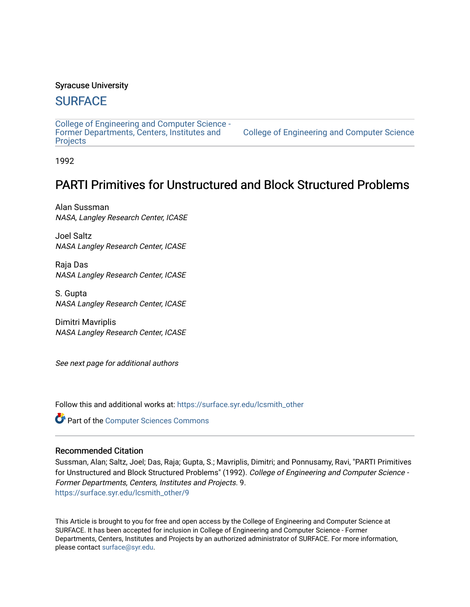## Syracuse University

# **[SURFACE](https://surface.syr.edu/)**

[College of Engineering and Computer Science -](https://surface.syr.edu/lcsmith_other)  [Former Departments, Centers, Institutes and](https://surface.syr.edu/lcsmith_other)  **[Projects](https://surface.syr.edu/lcsmith_other)** 

[College of Engineering and Computer Science](https://surface.syr.edu/lcsmith) 

1992

# PARTI Primitives for Unstructured and Block Structured Problems

Alan Sussman NASA, Langley Research Center, ICASE

Joel Saltz NASA Langley Research Center, ICASE

Raja Das NASA Langley Research Center, ICASE

S. Gupta NASA Langley Research Center, ICASE

Dimitri Mavriplis NASA Langley Research Center, ICASE

See next page for additional authors

Follow this and additional works at: [https://surface.syr.edu/lcsmith\\_other](https://surface.syr.edu/lcsmith_other?utm_source=surface.syr.edu%2Flcsmith_other%2F9&utm_medium=PDF&utm_campaign=PDFCoverPages) 

**Part of the [Computer Sciences Commons](http://network.bepress.com/hgg/discipline/142?utm_source=surface.syr.edu%2Flcsmith_other%2F9&utm_medium=PDF&utm_campaign=PDFCoverPages)** 

# Recommended Citation

Sussman, Alan; Saltz, Joel; Das, Raja; Gupta, S.; Mavriplis, Dimitri; and Ponnusamy, Ravi, "PARTI Primitives for Unstructured and Block Structured Problems" (1992). College of Engineering and Computer Science - Former Departments, Centers, Institutes and Projects. 9. [https://surface.syr.edu/lcsmith\\_other/9](https://surface.syr.edu/lcsmith_other/9?utm_source=surface.syr.edu%2Flcsmith_other%2F9&utm_medium=PDF&utm_campaign=PDFCoverPages) 

This Article is brought to you for free and open access by the College of Engineering and Computer Science at SURFACE. It has been accepted for inclusion in College of Engineering and Computer Science - Former Departments, Centers, Institutes and Projects by an authorized administrator of SURFACE. For more information, please contact [surface@syr.edu.](mailto:surface@syr.edu)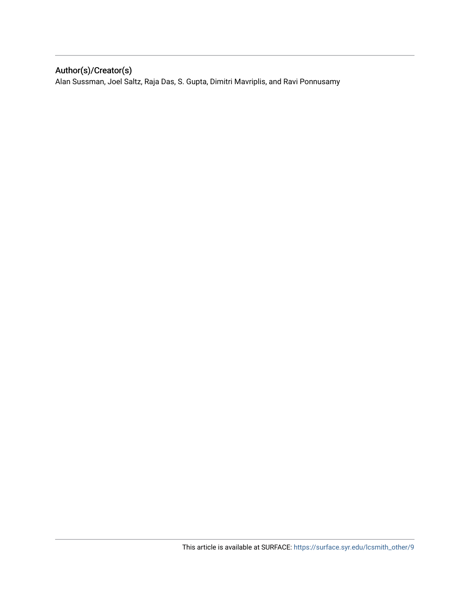# Author(s)/Creator(s)

Alan Sussman, Joel Saltz, Raja Das, S. Gupta, Dimitri Mavriplis, and Ravi Ponnusamy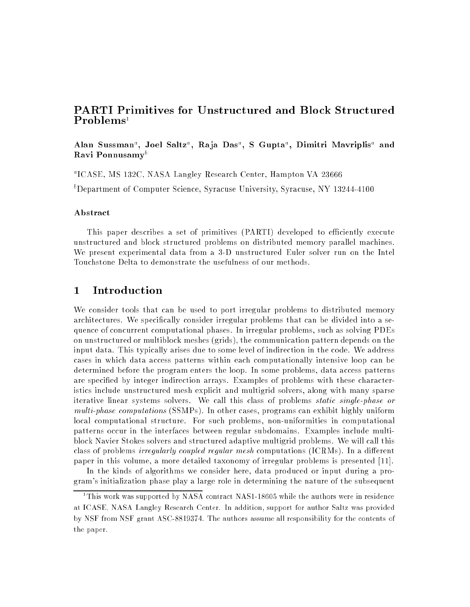# PARTI Primitives for Unstructured and Block Structured Problems<sup>1</sup>

Alah Sussillah", Joel Saltz", Kaja Das", S Gupta", Dimitri Mavriplis" and Ravi Ponnusamy $^b$ 

<sup>a</sup> ICASE, MS 132C, NASA Langley Research Center, Hampton VA 23666

 $^b$ Department of Computer Science, Syracuse University, Syracuse, NY 13244-4100

#### Abstract

This paper describes a set of primitives (PARTI) developed to efficiently execute unstructured and block structured problems on distributed memory parallel machines. We present experimental data from a 3-D unstructured Euler solver run on the Intel Touchstone Delta to demonstrate the usefulness of our methods.

# 1 Introduction

We consider tools that can be used to port irregular problems to distributed memory architectures. We specifically consider irregular problems that can be divided into a sequence of concurrent computational phases. In irregular problems, such as solving PDEs on unstructured or multiblock meshes (grids), the communication pattern depends on the input data. This typically arises due to some level of indirection in the code. We address cases in which data access patterns within each computationally intensive loop can be determined before the program enters the loop. In some problems, data access patterns are specied by integer indirection arrays. Examples of problems with these characteristics include unstructured mesh explicit and multigrid solvers, along with many sparse iterative linear systems solvers. We call this class of problems *static single-phase or* multi-phase computations (SSMPs). In other cases, programs can exhibit highly uniform local computational structure. For such problems, non-uniformities in computational patterns occur in the interfaces between regular subdomains. Examples include multiblock Navier Stokes solvers and structured adaptive multigrid problems. We will call this class of problems *irregularly coupled regular mesh* computations (ICRMs). In a different paper in this volume, a more detailed taxonomy of irregular problems is presented [11].

In the kinds of algorithms we consider here, data produced or input during a program's initialization phase play a large role in determining the nature of the subsequent

this work was supported by NASA contract NAS1-18605 while the authors were in residence " at ICASE, NASA Langley Research Center. In addition, support for author Saltz was provided by NSF from NSF grant ASC-8819374. The authors assume all responsibility for the contents of the paper.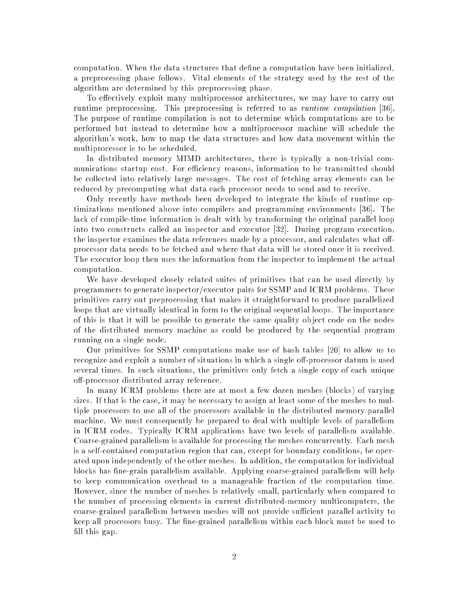computation. When the data structures that define a computation have been initialized, a preprocessing phase follows. Vital elements of the strategy used by the rest of the algorithm are determined by this preprocessing phase.

To effectively exploit many multiprocessor architectures, we may have to carry out runtime preprocessing. This preprocessing is referred to as *runtime compilation* [36]. The purpose of runtime compilation is not to determine which computations are to be performed but instead to determine how a multiprocessor machine will schedule the algorithm's work, how to map the data structures and how data movement within the multiprocessor is to be scheduled.

In distributed memory MIMD architectures, there is typically a non-trivial communications startup cost. For efficiency reasons, information to be transmitted should be collected into relatively large messages. The cost of fetching array elements can be reduced by precomputing what data each processor needs to send and to receive.

Only recently have methods been developed to integrate the kinds of runtime optimizations mentioned above into compilers and programming environments [36]. The lack of compile-time information is dealt with by transforming the original parallel loop into two constructs called an inspector and executor [32]. During program execution, the inspector examines the data references made by a processor, and calculates what offprocessor data needs to be fetched and where that data will be stored once it is received. The executor loop then uses the information from the inspector to implement the actual computation.

We have developed closely related suites of primitives that can be used directly by programmers to generate inspector/executor pairs for SSMP and ICRM problems. These primitives carry out preprocessing that makes it straightforward to produce parallelized loops that are virtually identical in form to the original sequential loops. The importance of this is that it will be possible to generate the same quality ob ject code on the nodes of the distributed memory machine as could be produced by the sequential program running on a single node.

Our primitives for SSMP computations make use of hash tables [20] to allow us to recognize and exploit a number of situations in which a single off-processor datum is used several times. In such situations, the primitives only fetch a single copy of each unique off-processor distributed array reference.

In many ICRM problems there are at most a few dozen meshes (blocks) of varying sizes. If that is the case, it may be necessary to assign at least some of the meshes to multiple processors to use all of the processors available in the distributed memory parallel machine. We must consequently be prepared to deal with multiple levels of parallelism in ICRM codes. Typically ICRM applications have two levels of parallelism available. Coarse-grained parallelism is available for processing the meshes concurrently. Each mesh is a self-contained computation region that can, except for boundary conditions, be operated upon independently of the other meshes. In addition, the computation for individual blocks has fine-grain parallelism available. Applying coarse-grained parallelism will help to keep communication overhead to a manageable fraction of the computation time. However, since the number of meshes is relatively small, particularly when compared to the number of processing elements in current distributed-memory multicomputers, the coarse-grained parallelism between meshes will not provide sufficient parallel activity to keep all processors busy. The fine-grained parallelism within each block must be used to fill this gap.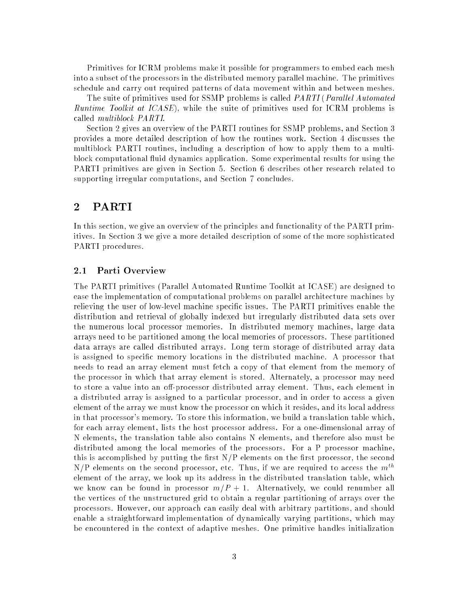Primitives for ICRM problems make it possible for programmers to embed each mesh into a subset of the processors in the distributed memory parallel machine. The primitives schedule and carry out required patterns of data movement within and between meshes.

The suite of primitives used for SSMP problems is called *PARTI* (*Parallel Automated* Runtime Toolkit at ICASE), while the suite of primitives used for ICRM problems is called multiblock PARTI.

Section 2 gives an overview of the PARTI routines for SSMP problems, and Section 3 provides a more detailed description of how the routines work. Section 4 discusses the multiblock PARTI routines, including a description of how to apply them to a multiblock computational fluid dynamics application. Some experimental results for using the PARTI primitives are given in Section 5. Section 6 describes other research related to supporting irregular computations, and Section 7 concludes.

# 2 PARTI

In this section, we give an overview of the principles and functionality of the PARTI primitives. In Section 3 we give a more detailed description of some of the more sophisticated PARTI procedures.

#### 2.1 Parti Overview

The PARTI primitives (Parallel Automated Runtime Toolkit at ICASE) are designed to ease the implementation of computational problems on parallel architecture machines by relieving the user of low-level machine specific issues. The PARTI primitives enable the distribution and retrieval of globally indexed but irregularly distributed data sets over the numerous local processor memories. In distributed memory machines, large data arrays need to be partitioned among the local memories of processors. These partitioned data arrays are called distributed arrays. Long term storage of distributed array data is assigned to specic memory locations in the distributed machine. A processor that needs to read an array element must fetch a copy of that element from the memory of the processor in which that array element is stored. Alternately, a processor may need to store a value into an off-processor distributed array element. Thus, each element in a distributed array is assigned to a particular processor, and in order to access a given element of the array we must know the processor on which it resides, and its local address in that processor's memory. To store this information, we build a translation table which, for each array element, lists the host processor address. For a one-dimensional array of N elements, the translation table also contains N elements, and therefore also must be distributed among the local memories of the processors. For a P processor machine, this is accomplished by putting the first  $N/P$  elements on the first processor, the second  $N/P$  elements on the second processor, etc. Thus, if we are required to access the  $m^{th}$ element of the array, we look up its address in the distributed translation table, which we know can be found in processor  $m/P + 1$ . Alternatively, we could renumber all the vertices of the unstructured grid to obtain a regular partitioning of arrays over the processors. However, our approach can easily deal with arbitrary partitions, and should enable a straightforward implementation of dynamically varying partitions, which may be encountered in the context of adaptive meshes. One primitive handles initialization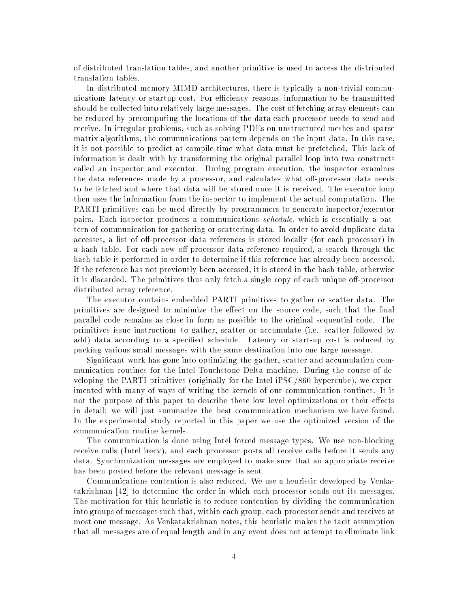of distributed translation tables, and another primitive is used to access the distributed translation tables.

In distributed memory MIMD architectures, there is typically a non-trivial communications latency or startup cost. For efficiency reasons, information to be transmitted should be collected into relatively large messages. The cost of fetching array elements can be reduced by precomputing the locations of the data each processor needs to send and receive. In irregular problems, such as solving PDEs on unstructured meshes and sparse matrix algorithms, the communications pattern depends on the input data. In this case, it is not possible to predict at compile time what data must be prefetched. This lack of information is dealt with by transforming the original parallel loop into two constructs called an inspector and executor. During program execution, the inspector examines the data references made by a processor, and calculates what off-processor data needs to be fetched and where that data will be stored once it is received. The executor loop then uses the information from the inspector to implement the actual computation. The PARTI primitives can be used directly by programmers to generate inspector/executor pairs. Each inspector produces a communications schedule, which is essentially a pattern of communication for gathering or scattering data. In order to avoid duplicate data accesses, a list of off-processor data references is stored locally (for each processor) in a hash table. For each new off-processor data reference required, a search through the hash table is performed in order to determine if this reference has already been accessed. If the reference has not previously been accessed, it is stored in the hash table, otherwise it is discarded. The primitives thus only fetch a single copy of each unique off-processor distributed array reference.

The executor contains embedded PARTI primitives to gather or scatter data. The primitives are designed to minimize the effect on the source code, such that the final parallel code remains as close in form as possible to the original sequential code. The primitives issue instructions to gather, scatter or accumulate (i.e. scatter followed by add) data according to a specified schedule. Latency or start-up cost is reduced by packing various small messages with the same destination into one large message.

Signicant work has gone into optimizing the gather, scatter and accumulation communication routines for the Intel Touchstone Delta machine. During the course of developing the PARTI primitives (originally for the Intel iPSC/860 hypercube), we experimented with many of ways of writing the kernels of our communication routines. It is not the purpose of this paper to describe these low level optimizations or their effects in detail; we will just summarize the best communication mechanism we have found. In the experimental study reported in this paper we use the optimized version of the communication routine kernels.

The communication is done using Intel forced message types. We use non-blocking receive calls (Intel irecv), and each processor posts all receive calls before it sends any data. Synchronization messages are employed to make sure that an appropriate receive has been posted before the relevant message is sent.

Communications contention is also reduced. We use a heuristic developed by Venkatakrishnan [42] to determine the order in which each processor sends out its messages. The motivation for this heuristic is to reduce contention by dividing the communication into groups of messages such that, within each group, each processor sends and receives at most one message. As Venkatakrishnan notes, this heuristic makes the tacit assumption that all messages are of equal length and in any event does not attempt to eliminate link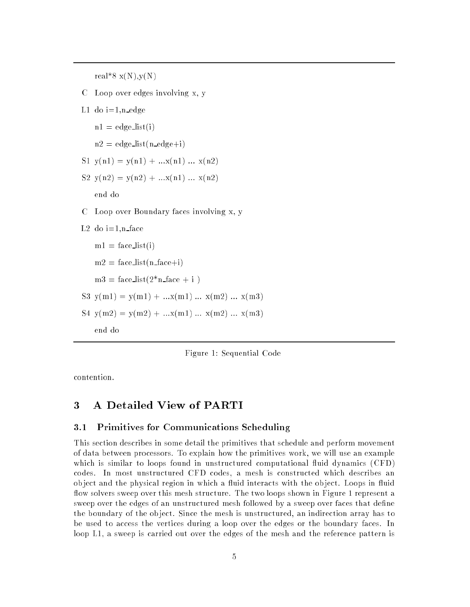real\*8  $x(N),y(N)$ 

- C Loop over edges involving x, y
- L1 do  $i=1, n$  edge
	- $n1 = edge\_list(i)$
	- $n2 = edge\_list(n\_edge+i)$
- S1  $y(n1) = y(n1) + ...x(n1) ... x(n2)$
- S2  $y(n2) = y(n2) + ...x(n1) ... x(n2)$

end do

- C Loop over Boundary faces involving x, y
- L2 do  $i=1, n$  face

$$
m1 = face\_list(i)
$$
  
\n
$$
m2 = face\_list(n\_face + i)
$$
  
\n
$$
m3 = face\_list(2*n\_face + i)
$$
  
\nS3 
$$
y(m1) = y(m1) + ...x(m1) ... x(m2) ... x(m3)
$$
  
\nS4 
$$
y(m2) = y(m2) + ...x(m1) ... x(m2) ... x(m3)
$$
  
\nend do

Figure 1: Sequential Code

contention.

# 3 A Detailed View of PARTI

#### Primitives for Communications Scheduling  $3.1$

This section describes in some detail the primitives that schedule and perform movement of data between processors. To explain how the primitives work, we will use an example which is similar to loops found in unstructured computational fluid dynamics  $(CFD)$ codes. In most unstructured CFD codes, a mesh is constructed which describes an object and the physical region in which a fluid interacts with the object. Loops in fluid flow solvers sweep over this mesh structure. The two loops shown in Figure 1 represent a sweep over the edges of an unstructured mesh followed by a sweep over faces that define the boundary of the ob ject. Since the mesh is unstructured, an indirection array has to be used to access the vertices during a loop over the edges or the boundary faces. In loop L1, a sweep is carried out over the edges of the mesh and the reference pattern is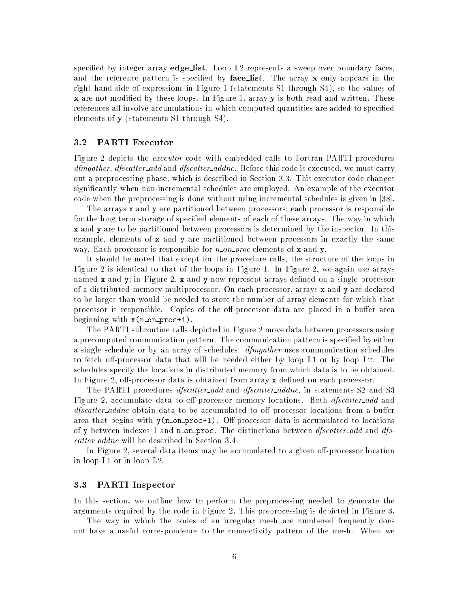specified by integer array  $edgeList$ . Loop L2 represents a sweep over boundary faces, and the reference pattern is specified by **face\_list**. The array  $x$  only appears in the right hand side of expressions in Figure 1 (statements S1 through S4), so the values of **x** are not modified by these loops. In Figure 1, array **y** is both read and written. These references all involve accumulations in which computed quantities are added to specied elements of y (statements S1 through S4).

### 3.2 PARTI Executor

Figure 2 depicts the *executor* code with embedded calls to Fortran PARTI procedures dfmgather, dfscatter\_add and dfscatter\_addnc. Before this code is executed, we must carry out a preprocessing phase, which is described in Section 3.3. This executor code changes signicantly when non-incremental schedules are employed. An example of the executor code when the preprocessing is done without using incremental schedules is given in [38].

The arrays <sup>x</sup> and <sup>y</sup> are partitioned between processors; each processor is responsible for the long term storage of specified elements of each of these arrays. The way in which <sup>x</sup> and <sup>y</sup> are to be partitioned between processors is determined by the inspector. In this example, elements of <sup>x</sup> and <sup>y</sup> are partitioned between processors in exactly the same way. Each processor is responsible for  $n\_on\_proc$  elements of x and y.

It should be noted that except for the procedure calls, the structure of the loops in Figure 2 is identical to that of the loops in Figure 1. In Figure 2, we again use arrays named **x** and **y**; in Figure 2, **x** and **y** now represent arrays defined on a single processor of a distributed memory multiprocessor. On each processor, arrays <sup>x</sup> and <sup>y</sup> are declared to be larger than would be needed to store the number of array elements for which that processor is responsible. Copies of the off-processor data are placed in a buffer area beginning with  $x(n_{\text{on}}-proc+1)$ .

The PARTI subroutine calls depicted in Figure 2 move data between processors using a precomputed communication pattern. The communication pattern is specied by either a single schedule or by an array of schedules. *dfmgather* uses communication schedules to fetch off-processor data that will be needed either by loop L1 or by loop L2. The schedules specify the locations in distributed memory from which data is to be obtained. In Figure 2, off-processor data is obtained from array  $x$  defined on each processor.

The PARTI procedures *dfscatter\_add* and *dfscatter\_addnc*, in statements S2 and S3 Figure 2, accumulate data to off-processor memory locations. Both *dfscatter\_add* and dfscatter addnc obtain data to be accumulated to off processor locations from a buffer area that begins with  $y(n_{on-proc+1})$ . Off-processor data is accumulated to locations of y between indexes 1 and n\_on\_proc. The distinctions between  $dfscuter\_add$  and  $dfs$ catter addnc will be described in Section 3.4.

In Figure 2, several data items may be accumulated to a given off-processor location in loop L1 or in loop L2.

#### 3.3 PARTI Inspector

In this section, we outline how to perform the preprocessing needed to generate the arguments required by the code in Figure 2. This preprocessing is depicted in Figure 3.

The way in which the nodes of an irregular mesh are numbered frequently does not have a useful correspondence to the connectivity pattern of the mesh. When we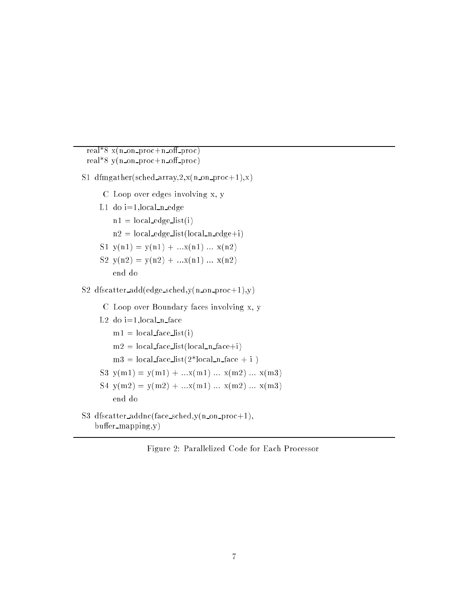```
real*8 x(n \text{ on } proc + n \text{ of } proc)real*8 y(n-on-proc+n-off-proc)
```
S1 dfmgather(sched\_array,  $2$ ,  $x$ (n\_on\_proc+1), $x$ )

C Loop over edges involving x, y

- L1 do  $i=1, local$  n edge
- $n1 = local-edge_list(i)$  $n2 = local-edge_list(local_n-edge+i)$ S1  $y(n1) = y(n1) + ...x(n1) ... x(n2)$ S2  $y(n2) = y(n2) + ...x(n1) ... x(n2)$ end do

S2 dfscatter\_add(edge\_sched,y(n\_on\_proc+1),y)

- C Loop over Boundary faces involving x, y
- L2 do  $i=1, local_n$  face
	- $m1 = localface_list(i)$
	- $m2 = localface_list(local_nface+i)$
	- $m3 = localface_list(2*local_nface + i)$
- S3  $y(m1) = y(m1) + ...x(m1) ... x(m2) ... x(m3)$
- S4  $y(m2) = y(m2) + ...x(m1) ... x(m2) ... x(m3)$ end do
- S3 dfscatter\_addnc(face\_sched,y(n\_on\_proc+1),  $buffer\_mapping,y)$

Figure 2: Parallelized Code for Each Processor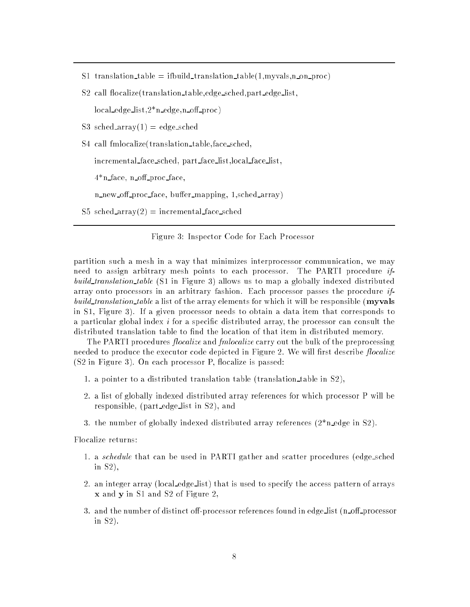- S1 translation table = ifbuild translation table(1,myvals,n on proc)
- S2 call flocalize(translation\_table,edge\_sched,part\_edge\_list,

 $local-edge_list,2*n-edge, n-off_prob$ 

- S3 sched\_array(1) = edge\_sched
- S4 call fmlocalize (translation\_table, face\_sched,

incremental face sched, part face list,local face list,

 $4^*$ n face, n off proc face,

 $n$  new off proc face, buffer mapping, 1,sched array)

S5 sched\_array(2) = incremental\_face\_sched

Figure 3: Inspector Code for Each Processor

partition such a mesh in a way that minimizes interprocessor communication, we may need to assign arbitrary mesh points to each processor. The PARTI procedure ifbuild translation table (S1 in Figure 3) allows us to map a globally indexed distributed array onto processors in an arbitrary fashion. Each processor passes the procedure if*build\_translation\_table* a list of the array elements for which it will be responsible ( $myvals$ ) in S1, Figure 3). If a given processor needs to obtain a data item that corresponds to a particular global index  $i$  for a specific distributed array, the processor can consult the distributed translation table to find the location of that item in distributed memory.

The PARTI procedures *flocalize* and *fmlocalize* carry out the bulk of the preprocessing needed to produce the executor code depicted in Figure 2. We will first describe *flocalize*  $(S2$  in Figure 3). On each processor P, flocalize is passed:

- 1. a pointer to a distributed translation table (translation table in S2),
- 2. a list of globally indexed distributed array references for which processor P will be responsible, (part edge list in S2), and
- 3. the number of globally indexed distributed array references  $(2<sup>*</sup>n_e)$  edge in S2).

Flocalize returns:

- 1. <sup>a</sup> schedule that can be used in PARTI gather and scatter procedures (edge sched in S2),
- 2. an integer array (local edge list) that is used to specify the access pattern of arrays x and y in S1 and S2 of Figure 2,
- 3. and the number of distinct off-processor references found in edge list (n off-processor in S2).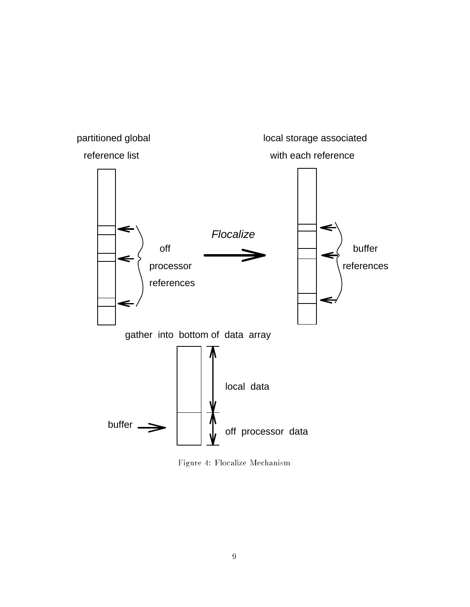

Figure 4: Flocalize Mechanism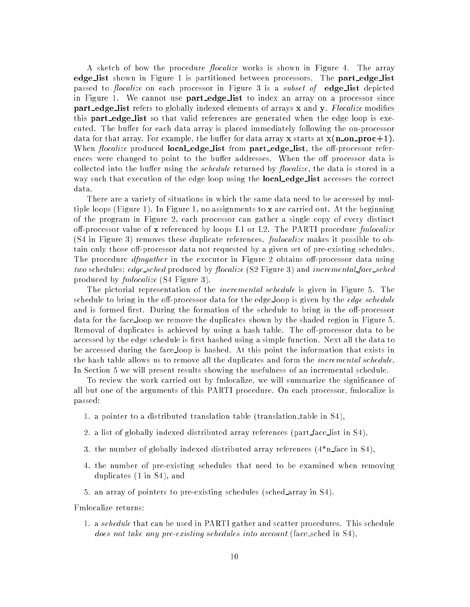A sketch of how the procedure *flocalize* works is shown in Figure 4. The array edge\_list shown in Figure 1 is partitioned between processors. The part\_edge\_list passed to *flocalize* on each processor in Figure 3 is a *subset of* edge-list depicted in Figure 1. We cannot use **part\_edge\_list** to index an array on a processor since **part\_edge\_list** refers to globally indexed elements of arrays **x** and y. *Flocalize* modifies this **part\_edge\_list** so that valid references are generated when the edge loop is executed. The buffer for each data array is placed immediately following the on-processor data for that array. For example, the buffer for data array x starts at  $x(n-on\_proc+1)$ . When *flocalize* produced **local\_edge\_list** from **part\_edge\_list**, the off-processor references were changed to point to the buffer addresses. When the off processor data is collected into the buffer using the *schedule* returned by *flocalize*, the data is stored in a way such that execution of the edge loop using the **local-edge-list** accesses the correct data.

There are a variety of situations in which the same data need to be accessed by multiple loops (Figure 1). In Figure 1, no assignments to <sup>x</sup> are carried out. At the beginning of the program in Figure 2, each processor can gather a single copy of every distinct off-processor value of x referenced by loops L1 or L2. The PARTI procedure  $\emph{fmlocalize}$ (S4 in Figure 3) removes these duplicate references. *fmlocalize* makes it possible to obtain only those off-processor data not requested by a given set of pre-existing schedules. The procedure *dfmgather* in the executor in Figure 2 obtains off-processor data using two schedules; edge\_sched produced by flocalize (S2 Figure 3) and incremental\_face\_sched produced by fmlocalize (S4 Figure 3).

The pictorial representation of the incremental schedule is given in Figure 5. The schedule to bring in the off-processor data for the edge loop is given by the *edge schedule* and is formed first. During the formation of the schedule to bring in the off-processor data for the face loop we remove the duplicates shown by the shaded region in Figure 5. Removal of duplicates is achieved by using a hash table. The off-processor data to be accessed by the edge schedule is first hashed using a simple function. Next all the data to be accessed during the face loop is hashed. At this point the information that exists in the hash table allows us to remove all the duplicates and form the *incremental schedule*. In Section 5 we will present results showing the usefulness of an incremental schedule.

To review the work carried out by fmlocalize, we will summarize the signicance of all but one of the arguments of this PARTI procedure. On each processor, fmlocalize is passed:

- 1. a pointer to a distributed translation table (translation table in S4),
- 2. a list of globally indexed distributed array references (part face list in S4),
- 3. the number of globally indexed distributed array references (4\*n face in S4),
- 4. the number of pre-existing schedules that need to be examined when removing duplicates (1 in S4), and
- 5. an array of pointers to pre-existing schedules (sched array in S4).

Fmlocalize returns:

1. a schedule that can be used in PARTI gather and scatter procedures. This schedule does not take any pre-existing schedules into account (face sched in S4),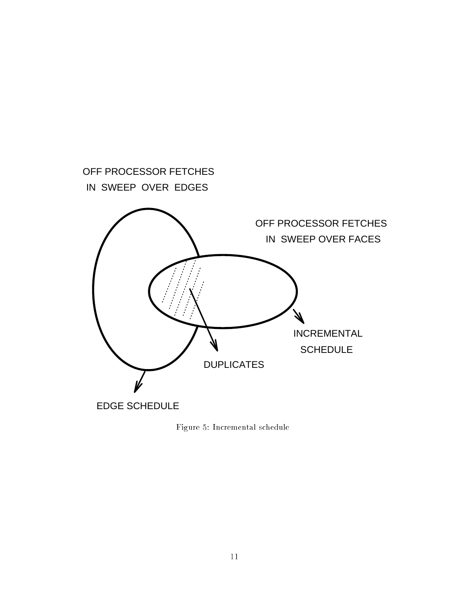

Figure 5: Incremental schedule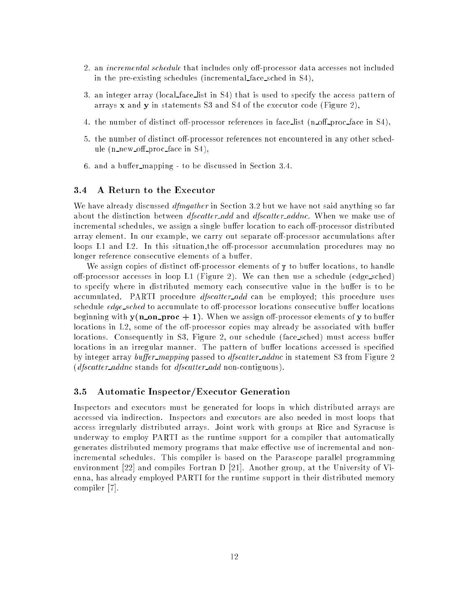- 2. an *incremental schedule* that includes only off-processor data accesses not included in the pre-existing schedules (incremental face sched in S4),
- 3. an integer array (local face list in S4) that is used to specify the access pattern of arrays **x** and **y** in statements S3 and S4 of the executor code (Figure 2),
- 4. the number of distinct off-processor references in face  $list$  (n off-proc face in S4),
- 5. the number of distinct off-processor references not encountered in any other schedule  $(n_new_of_{proc}face in S4)$ ,
- 6. and a buffer\_mapping to be discussed in Section 3.4.

#### 3.4 A Return to the Executor

We have already discussed *dfmgather* in Section 3.2 but we have not said anything so far about the distinction between *dfscatter\_add* and *dfscatter\_addnc*. When we make use of incremental schedules, we assign a single buffer location to each off-processor distributed array element. In our example, we carry out separate off-processor accumulations after loops  $L1$  and  $L2$ . In this situation, the off-processor accumulation procedures may no longer reference consecutive elements of a buffer.

We assign copies of distinct off-processor elements of  $y$  to buffer locations, to handle off-processor accesses in loop L1 (Figure 2). We can then use a schedule (edge-sched) to specify where in distributed memory each consecutive value in the buffer is to be accumulated. PARTI procedure *dfscatter\_add* can be employed; this procedure uses schedule *edge\_sched* to accumulate to off-processor locations consecutive buffer locations beginning with  $y(n-on-proc + 1)$ . When we assign off-processor elements of y to buffer locations in  $L2$ , some of the off-processor copies may already be associated with buffer locations. Consequently in S3, Figure 2, our schedule (face\_sched) must access buffer locations in an irregular manner. The pattern of buffer locations accessed is specified by integer array *buffer\_mapping* passed to *dfscatter\_addnc* in statement S3 from Figure 2 (*dfscatter\_addnc* stands for *dfscatter\_add* non-contiguous).

### 3.5 Automatic Inspector/Executor Generation

Inspectors and executors must be generated for loops in which distributed arrays are accessed via indirection. Inspectors and executors are also needed in most loops that access irregularly distributed arrays. Joint work with groups at Rice and Syracuse is underway to employ PARTI as the runtime support for a compiler that automatically generates distributed memory programs that make effective use of incremental and nonincremental schedules. This compiler is based on the Parascope parallel programming environment [22] and compiles Fortran D [21]. Another group, at the University of Vienna, has already employed PARTI for the runtime support in their distributed memory compiler [7].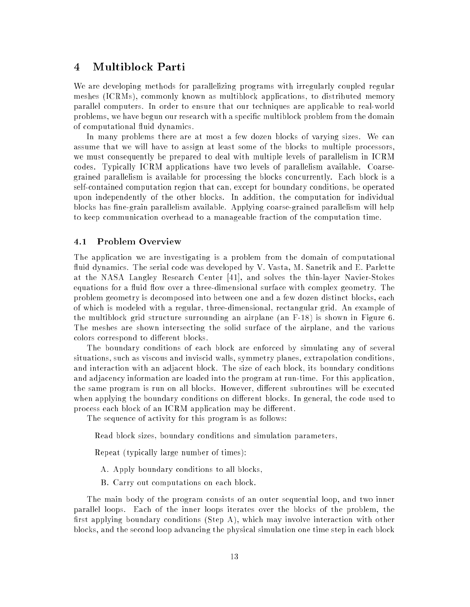# 4 Multiblock Parti

We are developing methods for parallelizing programs with irregularly coupled regular meshes (ICRMs), commonly known as multiblock applications, to distributed memory parallel computers. In order to ensure that our techniques are applicable to real-world problems, we have begun our research with a specic multiblock problem from the domain of computational fluid dynamics.

In many problems there are at most a few dozen blocks of varying sizes. We can assume that we will have to assign at least some of the blocks to multiple processors, we must consequently be prepared to deal with multiple levels of parallelism in ICRM codes. Typically ICRM applications have two levels of parallelism available. Coarsegrained parallelism is available for processing the blocks concurrently. Each block is a self-contained computation region that can, except for boundary conditions, be operated upon independently of the other blocks. In addition, the computation for individual blocks has fine-grain parallelism available. Applying coarse-grained parallelism will help to keep communication overhead to a manageable fraction of the computation time.

#### Problem Overview 4.1

The application we are investigating is a problem from the domain of computational fluid dynamics. The serial code was developed by V. Vasta, M. Sanetrik and E. Parlette at the NASA Langley Research Center [41], and solves the thin-layer Navier-Stokes equations for a fluid flow over a three-dimensional surface with complex geometry. The problem geometry is decomposed into between one and a few dozen distinct blocks, each of which is modeled with a regular, three-dimensional, rectangular grid. An example of the multiblock grid structure surrounding an airplane (an F-18) is shown in Figure 6. The meshes are shown intersecting the solid surface of the airplane, and the various colors correspond to different blocks.

The boundary conditions of each block are enforced by simulating any of several situations, such as viscous and inviscid walls, symmetry planes, extrapolation conditions, and interaction with an adjacent block. The size of each block, its boundary conditions and adjacency information are loaded into the program at run-time. For this application, the same program is run on all blocks. However, different subroutines will be executed when applying the boundary conditions on different blocks. In general, the code used to process each block of an ICRM application may be different.

The sequence of activity for this program is as follows:

Read block sizes, boundary conditions and simulation parameters,

Repeat (typically large number of times):

- A. Apply boundary conditions to all blocks,
- B. Carry out computations on each block.

The main body of the program consists of an outer sequential loop, and two inner parallel loops. Each of the inner loops iterates over the blocks of the problem, the first applying boundary conditions (Step A), which may involve interaction with other blocks, and the second loop advancing the physical simulation one time step in each block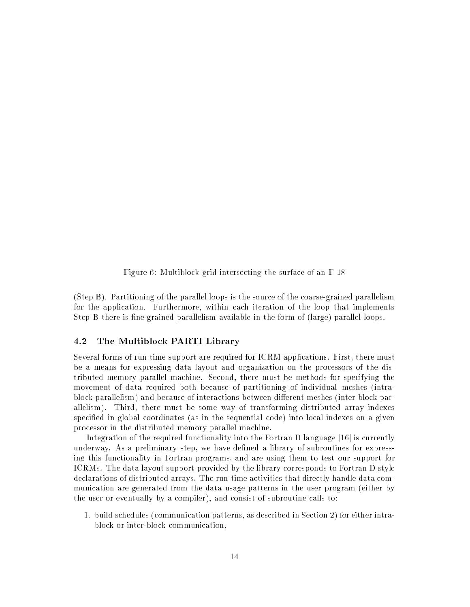Figure 6: Multiblock grid intersecting the surface of an F-18

(Step B). Partitioning of the parallel loops is the source of the coarse-grained parallelism for the application. Furthermore, within each iteration of the loop that implements Step B there is fine-grained parallelism available in the form of (large) parallel loops.

#### 4.2 The Multiblock PARTI Library

Several forms of run-time support are required for ICRM applications. First, there must be a means for expressing data layout and organization on the processors of the distributed memory parallel machine. Second, there must be methods for specifying the movement of data required both because of partitioning of individual meshes (intrablock parallelism) and because of interactions between different meshes (inter-block parallelism). Third, there must be some way of transforming distributed array indexes specied in global coordinates (as in the sequential code) into local indexes on a given processor in the distributed memory parallel machine.

Integration of the required functionality into the Fortran D language [16] is currently underway. As a preliminary step, we have defined a library of subroutines for expressing this functionality in Fortran programs, and are using them to test our support for ICRMs. The data layout support provided by the library corresponds to Fortran D style declarations of distributed arrays. The run-time activities that directly handle data communication are generated from the data usage patterns in the user program (either by the user or eventually by a compiler), and consist of subroutine calls to:

1. build schedules (communication patterns, as described in Section 2) for either intrablock or inter-block communication,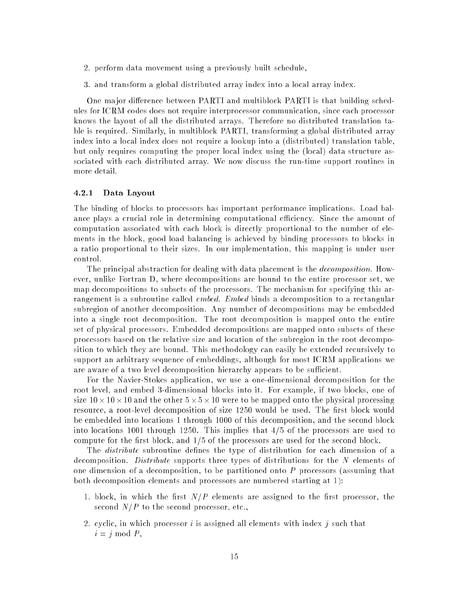- 2. perform data movement using a previously built schedule,
- 3. and transform a global distributed array index into a local array index.

One major difference between PARTI and multiblock PARTI is that building schedules for ICRM codes does not require interprocessor communication, since each processor knows the layout of all the distributed arrays. Therefore no distributed translation table is required. Similarly, in multiblock PARTI, transforming a global distributed array index into a local index does not require a lookup into a (distributed) translation table, but only requires computing the proper local index using the (local) data structure associated with each distributed array. We now discuss the run-time support routines in more detail.

#### 4.2.1 Data Layout

The binding of blocks to processors has important performance implications. Load balance plays a crucial role in determining computational efficiency. Since the amount of computation associated with each block is directly proportional to the number of elements in the block, good load balancing is achieved by binding processors to blocks in a ratio proportional to their sizes. In our implementation, this mapping is under user control.

The principal abstraction for dealing with data placement is the decomposition. However, unlike Fortran D, where decompositions are bound to the entire processor set, we map decompositions to subsets of the processors. The mechanism for specifying this arrangement is a subroutine called *embed. Embed* binds a decomposition to a rectangular subregion of another decomposition. Any number of decompositions may be embedded into a single root decomposition. The root decomposition is mapped onto the entire set of physical processors. Embedded decompositions are mapped onto subsets of these processors based on the relative size and location of the subregion in the root decomposition to which they are bound. This methodology can easily be extended recursively to support an arbitrary sequence of embeddings, although for most ICRM applications we are aware of a two level decomposition hierarchy appears to be sufficient.

For the Navier-Stokes application, we use a one-dimensional decomposition for the root level, and embed 3-dimensional blocks into it. For example, if two blocks, one of size to be the other final processing the physical processing processing processing processing resource, a root-level decomposition of size 1250 would be used. The first block would be embedded into locations 1 through 1000 of this decomposition, and the second block into locations 1001 through 1250. This implies that  $4/5$  of the processors are used to compute for the first block, and  $1/5$  of the processors are used for the second block.

The *distribute* subroutine defines the type of distribution for each dimension of a decomposition. *Distribute* supports three types of distributions for the N elements of one dimension of a decomposition, to be partitioned onto <sup>P</sup> processors (assuming that both decomposition elements and processors are numbered starting at 1):

- 1. block, in which the first  $N/P$  elements are assigned to the first processor, the second  $N/P$  to the second processor, etc.,
- 2. cyclic, in which processor i is assigned all elements with index j such that  $i = j \mod P$ ,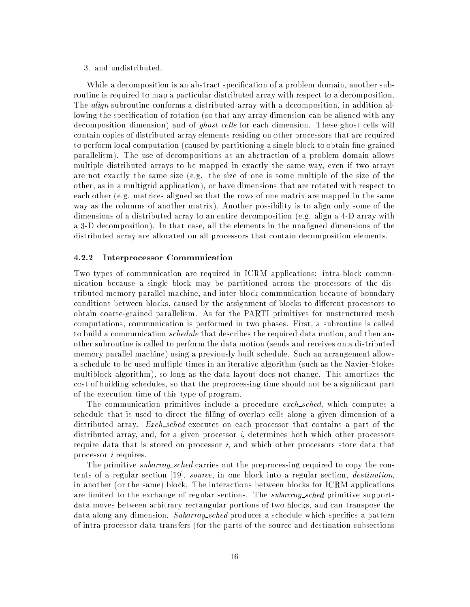#### 3. and undistributed.

While a decomposition is an abstract specification of a problem domain, another subroutine is required to map a particular distributed array with respect to a decomposition. The *align* subroutine conforms a distributed array with a decomposition, in addition allowing the specification of rotation (so that any array dimension can be aligned with any decomposition dimension) and of *ghost cells* for each dimension. These ghost cells will contain copies of distributed array elements residing on other processors that are required to perform local computation (caused by partitioning a single block to obtain fine-grained parallelism). The use of decompositions as an abstraction of a problem domain allows multiple distributed arrays to be mapped in exactly the same way, even if two arrays are not exactly the same size (e.g. the size of one is some multiple of the size of the other, as in a multigrid application), or have dimensions that are rotated with respect to each other (e.g. matrices aligned so that the rows of one matrix are mapped in the same way as the columns of another matrix). Another possibility is to align only some of the dimensions of a distributed array to an entire decomposition (e.g. align a 4-D array with a 3-D decomposition). In that case, all the elements in the unaligned dimensions of the distributed array are allocated on all processors that contain decomposition elements.

#### 4.2.2 Interprocessor Communication

Two types of communication are required in ICRM applications: intra-block communication because a single block may be partitioned across the processors of the distributed memory parallel machine, and inter-block communication because of boundary conditions between blocks, caused by the assignment of blocks to different processors to obtain coarse-grained parallelism. As for the PARTI primitives for unstructured mesh computations, communication is performed in two phases. First, a subroutine is called to build a communication *schedule* that describes the required data motion, and then another subroutine is called to perform the data motion (sends and receives on a distributed memory parallel machine) using a previously built schedule. Such an arrangement allows a schedule to be used multiple times in an iterative algorithm (such as the Navier-Stokes multiblock algorithm), so long as the data layout does not change. This amortizes the cost of building schedules, so that the preprocessing time should not be a signicant part of the execution time of this type of program.

The communication primitives include a procedure exch sched, which computes <sup>a</sup> schedule that is used to direct the filling of overlap cells along a given dimension of a distributed array. Exch sched executes on each processor that contains a part of the distributed array, and, for a given processor i, determines both which other processors require data that is stored on processor i, and which other processors store data that processor i requires.

The primitive *subarray sched* carries out the preprocessing required to copy the contents of a regular section [19], source, in one block into a regular section, destination, in another (or the same) block. The interactions between blocks for ICRM applications are limited to the exchange of regular sections. The *subarray\_sched* primitive supports data moves between arbitrary rectangular portions of two blocks, and can transpose the data along any dimension. Subarray sched produces a schedule which specifies a pattern of intra-processor data transfers (for the parts of the source and destination subsections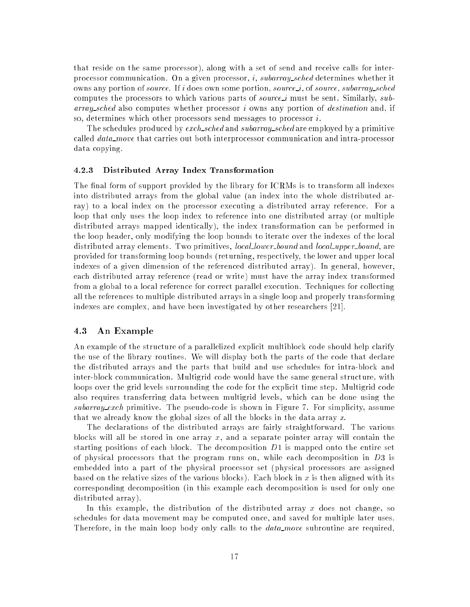that reside on the same processor), along with a set of send and receive calls for interprocessor communication. On a given processor, *i*, *subarray\_sched* determines whether it owns any portion of *source*. If i does own some portion, *source* i, of *source*, *subarray\_sched* computes the processors to which various parts of *source* i must be sent. Similarly, sub*array sched* also computes whether processor i owns any portion of *destination* and, if so, determines which other processors send messages to processor  $i$ .

The schedules produced by exch\_sched and subarray\_sched are employed by a primitive called *data move* that carries out both interprocessor communication and intra-processor data copying.

#### 4.2.3 Distributed Array Index Transformation

The final form of support provided by the library for ICRMs is to transform all indexes into distributed arrays from the global value (an index into the whole distributed array) to a local index on the processor executing a distributed array reference. For a loop that only uses the loop index to reference into one distributed array (or multiple distributed arrays mapped identically), the index transformation can be performed in the loop header, only modifying the loop bounds to iterate over the indexes of the local distributed array elements. Two primitives, *local\_lower\_bound* and *local\_upper\_bound*, are provided for transforming loop bounds (returning, respectively, the lower and upper local indexes of a given dimension of the referenced distributed array). In general, however, each distributed array reference (read or write) must have the array index transformed from a global to a local reference for correct parallel execution. Techniques for collecting all the references to multiple distributed arrays in a single loop and properly transforming indexes are complex, and have been investigated by other researchers [21].

#### 4.3 An Example

An example of the structure of a parallelized explicit multiblock code should help clarify the use of the library routines. We will display both the parts of the code that declare the distributed arrays and the parts that build and use schedules for intra-block and inter-block communication. Multigrid code would have the same general structure, with loops over the grid levels surrounding the code for the explicit time step. Multigrid code also requires transferring data between multigrid levels, which can be done using the subarray exch primitive. The pseudo-code is shown in Figure 7. For simplicity, assume that we already know the global sizes of all the blocks in the data array  $x$ .

The declarations of the distributed arrays are fairly straightforward. The various blocks will all be stored in one array  $x$ , and a separate pointer array will contain the starting positions of each block. The decomposition  $D1$  is mapped onto the entire set of physical processors that the program runs on, while each decomposition in D3 is embedded into a part of the physical processor set (physical processors are assigned based on the relative sizes of the various blocks). Each block in x is then aligned with its corresponding decomposition (in this example each decomposition is used for only one distributed array).

In this example, the distribution of the distributed array x does not change, so schedules for data movement may be computed once, and saved for multiple later uses. Therefore, in the main loop body only calls to the *data move* subroutine are required,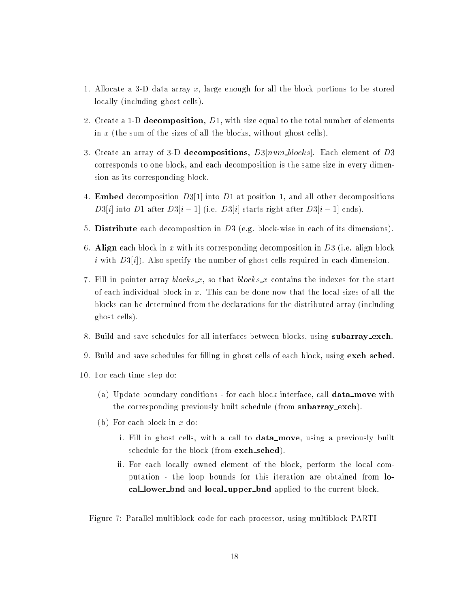- 1. Allocate a 3-D data array  $x$ , large enough for all the block portions to be stored locally (including ghost cells).
- 2. Create a 1-D decomposition,  $D_1$ , with size equal to the total number of elements in <sup>x</sup> (the sum of the sizes of all the blocks, without ghost cells).
- 3. Create an array of 3-D decompositions,  $D3$ [num blocks]. Each element of D3 corresponds to one block, and each decomposition is the same size in every dimension as its corresponding block.
- 4. Embed decomposition D3[1] into D1 at position 1, and all other decompositions D3[i] into D1 after D3[i - 1] (i.e. D3[i] starts right after D3[i - 1] ends).
- 5. Distribute each decomposition in D3 (e.g. block-wise in each of its dimensions).
- 6. Align each block in  $x$  with its corresponding decomposition in  $D3$  (i.e. align block i with  $D3[i]$ . Also specify the number of ghost cells required in each dimension.
- 7. Fill in pointer array  $blocks \, x$ , so that  $blocks \, x$  contains the indexes for the start of each individual block in  $x$ . This can be done now that the local sizes of all the blocks can be determined from the declarations for the distributed array (including ghost cells).
- 8. Build and save schedules for all interfaces between blocks, using subarray\_exch.
- 9. Build and save schedules for filling in ghost cells of each block, using **exch\_sched**.
- 10. For each time step do:
	- (a) Update boundary conditions for each block interface, call **data\_move** with the corresponding previously built schedule (from **subarray\_exch**).
	- (b) For each block in <sup>x</sup> do:
		- i. Fill in ghost cells, with a call to **data move**, using a previously built schedule for the block (from exch\_sched).
		- ii. For each locally owned element of the block, perform the local computation - the loop bounds for this iteration are obtained from local lower bnd and local upper bnd applied to the current block.

Figure 7: Parallel multiblock code for each processor, using multiblock PARTI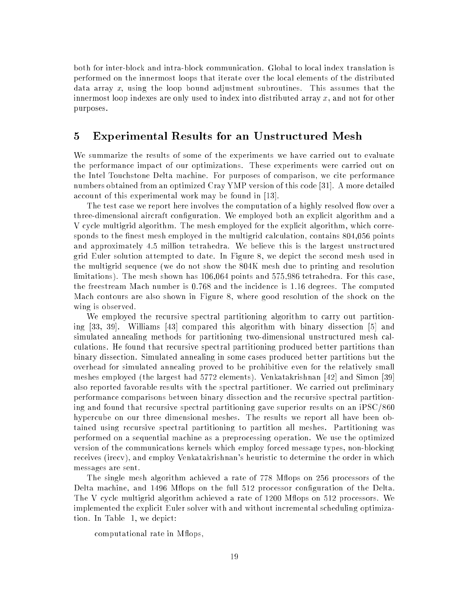both for inter-block and intra-block communication. Global to local index translation is performed on the innermost loops that iterate over the local elements of the distributed data array x, using the loop bound adjustment subroutines. This assumes that the innermost loop indexes are only used to index into distributed array  $x$ , and not for other purposes.

# 5 Experimental Results for an Unstructured Mesh

We summarize the results of some of the experiments we have carried out to evaluate the performance impact of our optimizations. These experiments were carried out on the Intel Touchstone Delta machine. For purposes of comparison, we cite performance numbers obtained from an optimized Cray YMP version of this code [31]. A more detailed account of this experimental work may be found in [13].

The test case we report here involves the computation of a highly resolved flow over a three-dimensional aircraft configuration. We employed both an explicit algorithm and a V cycle multigrid algorithm. The mesh employed for the explicit algorithm, which corresponds to the finest mesh employed in the multigrid calculation, contains  $804,056$  points and approximately 4.5 million tetrahedra. We believe this is the largest unstructured grid Euler solution attempted to date. In Figure 8, we depict the second mesh used in the multigrid sequence (we do not show the 804K mesh due to printing and resolution limitations). The mesh shown has 106,064 points and 575,986 tetrahedra. For this case, the freestream Mach number is 0.768 and the incidence is 1.16 degrees. The computed Mach contours are also shown in Figure 8, where good resolution of the shock on the wing is observed.

We employed the recursive spectral partitioning algorithm to carry out partitioning [33, 39]. Williams [43] compared this algorithm with binary dissection [5] and simulated annealing methods for partitioning two-dimensional unstructured mesh calculations. He found that recursive spectral partitioning produced better partitions than binary dissection. Simulated annealing in some cases produced better partitions but the overhead for simulated annealing proved to be prohibitive even for the relatively small meshes employed (the largest had 5772 elements). Venkatakrishnan [42] and Simon [39] also reported favorable results with the spectral partitioner. We carried out preliminary performance comparisons between binary dissection and the recursive spectral partitioning and found that recursive spectral partitioning gave superior results on an iPSC/860 hypercube on our three dimensional meshes. The results we report all have been obtained using recursive spectral partitioning to partition all meshes. Partitioning was performed on a sequential machine as a preprocessing operation. We use the optimized version of the communications kernels which employ forced message types, non-blocking receives (irecv), and employ Venkatakrishnan's heuristic to determine the order in which messages are sent.

The single mesh algorithm achieved a rate of 778 Mflops on 256 processors of the Delta machine, and 1496 Mflops on the full 512 processor configuration of the Delta. The V cycle multigrid algorithm achieved a rate of 1200 Mflops on 512 processors. We implemented the explicit Euler solver with and without incremental scheduling optimization. In Table 1, we depict:

computational rate in M
ops,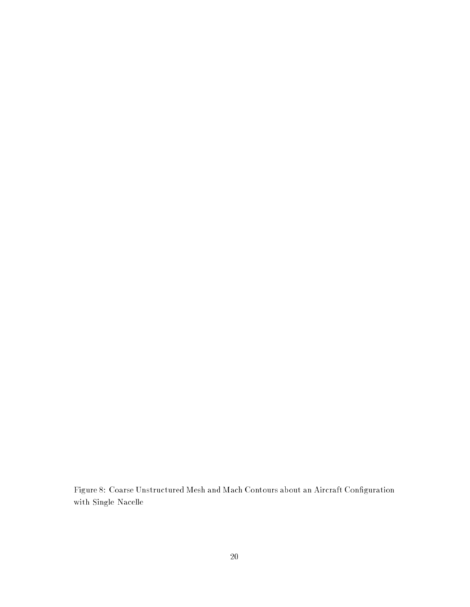Figure 8: Coarse Unstructured Mesh and Mach Contours about an Aircraft Conguration with Single Nacelle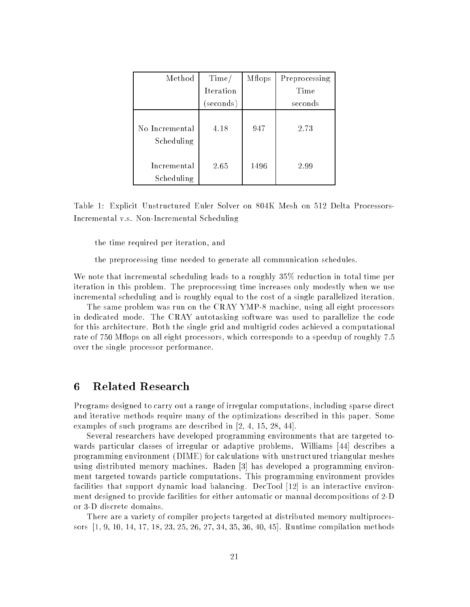| Method                       | Time/     | Mflops | Preprocessing |
|------------------------------|-----------|--------|---------------|
|                              | Iteration |        | Time          |
|                              | (seconds) |        | seconds       |
| No Incremental<br>Scheduling | 4.18      | 947    | 2.73          |
| Incremental<br>Scheduling    | 2.65      | 1496   | 2.99          |

Table 1: Explicit Unstructured Euler Solver on 804K Mesh on 512 Delta Processors-Incremental v.s. Non-Incremental Scheduling

the time required per iteration, and

the preprocessing time needed to generate all communication schedules.

We note that incremental scheduling leads to a roughly 35% reduction in total time per iteration in this problem. The preprocessing time increases only modestly when we use incremental scheduling and is roughly equal to the cost of a single parallelized iteration.

The same problem was run on the CRAY YMP-8 machine, using all eight processors in dedicated mode. The CRAY autotasking software was used to parallelize the code for this architecture. Both the single grid and multigrid codes achieved a computational rate of 750 Mflops on all eight processors, which corresponds to a speedup of roughly 7.5 over the single processor performance.

## 6 Related Research

Programs designed to carry out a range of irregular computations, including sparse direct and iterative methods require many of the optimizations described in this paper. Some examples of such programs are described in [2, 4, 15, 28, 44].

Several researchers have developed programming environments that are targeted towards particular classes of irregular or adaptive problems. Williams [44] describes a programming environment (DIME) for calculations with unstructured triangular meshes using distributed memory machines. Baden [3] has developed a programming environment targeted towards particle computations. This programming environment provides facilities that support dynamic load balancing. DecTool [12] is an interactive environment designed to provide facilities for either automatic or manual decompositions of 2-D or 3-D discrete domains.

There are a variety of compiler projects targeted at distributed memory multiprocessors [1, 9, 10, 14, 17, 18, 23, 25, 26, 27, 34, 35, 36, 40, 45]. Runtime compilation methods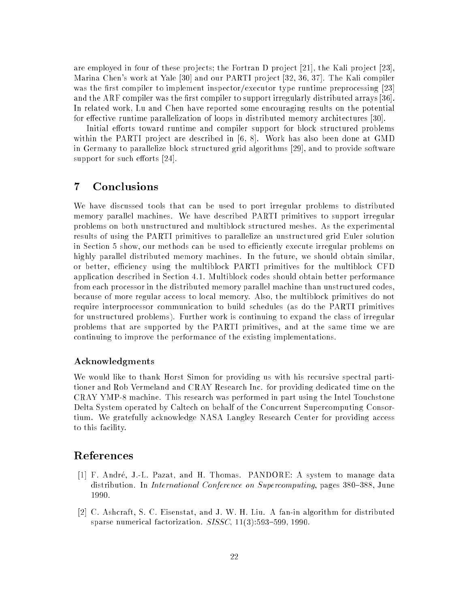are employed in four of these projects; the Fortran D project [21], the Kali project [23], Marina Chen's work at Yale [30] and our PARTI pro ject [32, 36, 37]. The Kali compiler was the first compiler to implement inspector/executor type runtime preprocessing  $[23]$ and the ARF compiler was the first compiler to support irregularly distributed arrays [36]. In related work, Lu and Chen have reported some encouraging results on the potential for effective runtime parallelization of loops in distributed memory architectures [30].

Initial efforts toward runtime and compiler support for block structured problems within the PARTI project are described in  $[6, 8]$ . Work has also been done at GMD in Germany to parallelize block structured grid algorithms [29], and to provide software support for such efforts  $[24]$ .

# 7 Conclusions

We have discussed tools that can be used to port irregular problems to distributed memory parallel machines. We have described PARTI primitives to support irregular problems on both unstructured and multiblock structured meshes. As the experimental results of using the PARTI primitives to parallelize an unstructured grid Euler solution in Section 5 show, our methods can be used to efficiently execute irregular problems on highly parallel distributed memory machines. In the future, we should obtain similar, or better, efficiency using the multiblock PARTI primitives for the multiblock CFD application described in Section 4.1. Multiblock codes should obtain better performance from each processor in the distributed memory parallel machine than unstructured codes, because of more regular access to local memory. Also, the multiblock primitives do not require interprocessor communication to build schedules (as do the PARTI primitives for unstructured problems). Further work is continuing to expand the class of irregular problems that are supported by the PARTI primitives, and at the same time we are continuing to improve the performance of the existing implementations.

#### Acknowledgments

We would like to thank Horst Simon for providing us with his recursive spectral partitioner and Rob Vermeland and CRAY Research Inc. for providing dedicated time on the CRAY YMP-8 machine. This research was performed in part using the Intel Touchstone Delta System operated by Caltech on behalf of the Concurrent Supercomputing Consortium. We gratefully acknowledge NASA Langley Research Center for providing access to this facility.

## References

- [1] F. Andre, J.-L. Pazat, and H. Thomas. PANDORE: A system to manage data distribution. In *International Conference on Supercomputing*, pages 380–388, June
- [2] C. Ashcraft, S. C. Eisenstat, and J. W. H. Liu. A fan-in algorithm for distributed sparse numerical factorization.  $SISSC$ ,  $11(3):593-599$ , 1990.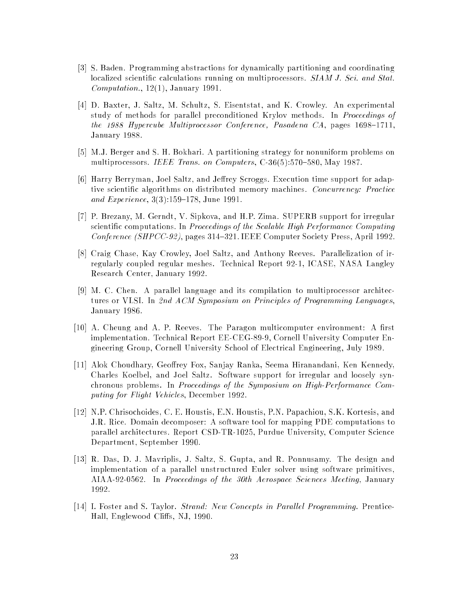- [3] S. Baden. Programming abstractions for dynamically partitioning and coordinating localized scientific calculations running on multiprocessors. SIAM J. Sci. and Stat. Computation.,  $12(1)$ , January 1991.
- [4] D. Baxter, J. Saltz, M. Schultz, S. Eisentstat, and K. Crowley. An experimental study of methods for parallel preconditioned Krylov methods. In Proceedings of the 1988 Hypercube Multiprocessor Conference, Pasadena CA, pages  $1698-1711$ , January 1988.
- [5] M.J. Berger and S. H. Bokhari. A partitioning strategy for nonuniform problems on multiprocessors. IEEE Trans. on Computers, C-36(5):570-580, May 1987.
- [6] Harry Berryman, Joel Saltz, and Jeffrey Scroggs. Execution time support for adaptive scientific algorithms on distributed memory machines. Concurrency: Practice and Experience,  $3(3):159-178$ , June 1991.
- [7] P. Brezany, M. Gerndt, V. Sipkova, and H.P. Zima. SUPERB support for irregular scientific computations. In Proceedings of the Scalable High Performance Computing Conference (SHPCC-92), pages 314-321. IEEE Computer Society Press, April 1992.
- [8] Craig Chase, Kay Crowley, Joel Saltz, and Anthony Reeves. Parallelization of irregularly coupled regular meshes. Technical Report 92-1, ICASE, NASA Langley Research Center, January 1992.
- [9] M. C. Chen. A parallel language and its compilation to multiprocessor architectures or VLSI. In 2nd ACM Symposium on Principles of Programming Languages, January 1986.
- [10] A. Cheung and A. P. Reeves. The Paragon multicomputer environment: A first implementation. Technical Report EE-CEG-89-9, Cornell University Computer Engineering Group, Cornell University School of Electrical Engineering, July 1989.
- [11] Alok Choudhary, Geoffrey Fox, Sanjay Ranka, Seema Hiranandani, Ken Kennedy, Charles Koelbel, and Joel Saltz. Software support for irregular and loosely synchronous problems. In Proceedings of the Symposium on High-Performance Computing for Flight Vehicles, December 1992.
- [12] N.P. Chrisochoides, C. E. Houstis, E.N. Houstis, P.N. Papachiou, S.K. Kortesis, and J.R. Rice. Domain decomposer: A software tool for mapping PDE computations to parallel architectures. Report CSD-TR-1025, Purdue University, Computer Science Department, September 1990.
- [13] R. Das, D. J. Mavriplis, J. Saltz, S. Gupta, and R. Ponnusamy. The design and implementation of a parallel unstructured Euler solver using software primitives, AIAA-92-0562. In Proceedings of the 30th Aerospace Sciences Meeting, January 1992.
- [14] I. Foster and S. Taylor. Strand: New Concepts in Parallel Programming. Prentice-Hall, Englewood Cliffs, NJ, 1990.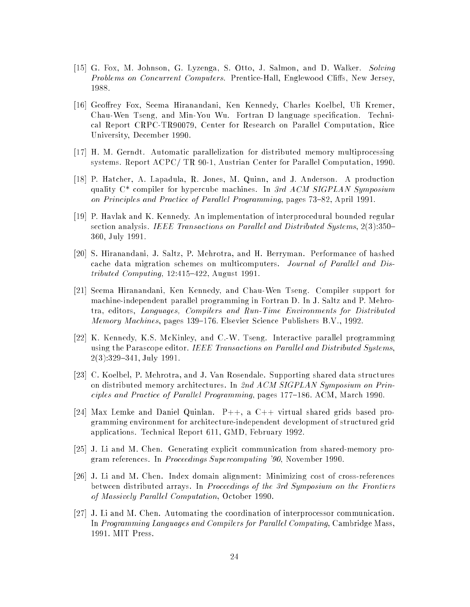- [15] G. Fox, M. Johnson, G. Lyzenga, S. Otto, J. Salmon, and D. Walker. Solving Problems on Concurrent Computers. Prentice-Hall, Englewood Cliffs, New Jersey, 1988.
- [16] Geoffrey Fox, Seema Hiranandani, Ken Kennedy, Charles Koelbel, Uli Kremer, Chau-Wen Tseng, and Min-You Wu. Fortran D language specification. Technical Report CRPC-TR90079, Center for Research on Parallel Computation, Rice University, December 1990.
- [17] H. M. Gerndt. Automatic parallelization for distributed memory multiprocessing systems. Report ACPC/ TR 90-1, Austrian Center for Parallel Computation, 1990.
- [18] P. Hatcher, A. Lapadula, R. Jones, M. Quinn, and J. Anderson. A production quality  $C^*$  compiler for hypercube machines. In 3rd ACM SIGPLAN Symposium on Principles and Practice of Parallel Programming, pages  $73{-}82$ , April 1991.
- [19] P. Havlak and K. Kennedy. An implementation of interprocedural bounded regular section analysis. IEEE Transactions on Parallel and Distributed Systems, 2(3):350– 360, July 1991.
- [20] S. Hiranandani, J. Saltz, P. Mehrotra, and H. Berryman. Performance of hashed cache data migration schemes on multicomputers. Journal of Parallel and Distributed Computing,  $12:415-422$ , August 1991.
- [21] Seema Hiranandani, Ken Kennedy, and Chau-Wen Tseng. Compiler support for machine-independent parallel programming in Fortran D. In J. Saltz and P. Mehrotra, editors, Languages, Compilers and Run-Time Environments for Distributed Memory Machines, pages 139-176. Elsevier Science Publishers B.V., 1992.
- [22] K. Kennedy, K.S. McKinley, and C.-W. Tseng. Interactive parallel programming using the Parascope editor. IEEE Transactions on Parallel and Distributed Systems,  $2(3):329-341$ , July 1991.
- [23] C. Koelbel, P. Mehrotra, and J. Van Rosendale. Supporting shared data structures on distributed memory architectures. In 2nd ACM SIGPLAN Symposium on Principles and Practice of Parallel Programming, pages  $177-186$ . ACM, March 1990.
- [24] Max Lemke and Daniel Quinlan. P++, a C++ virtual shared grids based programming environment for architecture-independent development of structured grid applications. Technical Report 611, GMD, February 1992.
- [25] J. Li and M. Chen. Generating explicit communication from shared-memory program references. In Proceedings Supercomputing '90, November 1990.
- [26] J. Li and M. Chen. Index domain alignment: Minimizing cost of cross-references between distributed arrays. In Proceedings of the 3rd Symposium on the Frontiers of Massively Parallel Computation, October 1990.
- [27] J. Li and M. Chen. Automating the coordination of interprocessor communication. In Programming Languages and Compilers for Parallel Computing, Cambridge Mass, 1991. MIT Press.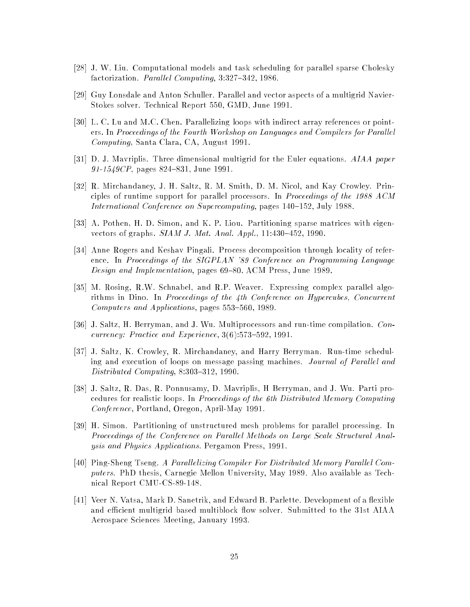- [28] J. W. Liu. Computational models and task scheduling for parallel sparse Cholesky factorization. Parallel Computing,  $3:327{-}342$ , 1986.
- [29] Guy Lonsdale and Anton Schuller. Parallel and vector aspects of a multigrid Navier-Stokes solver. Technical Report 550, GMD, June 1991.
- [30] L. C. Lu and M.C. Chen. Parallelizing loops with indirect array references or pointers. In Proceedings of the Fourth Workshop on Languages and Compilers for Parallel Computing, Santa Clara, CA, August 1991.
- [31] D. J. Mavriplis. Three dimensional multigrid for the Euler equations. AIAA paper  $91-1549CP$ , pages 824-831, June 1991.
- [32] R. Mirchandaney, J. H. Saltz, R. M. Smith, D. M. Nicol, and Kay Crowley. Principles of runtime support for parallel processors. In Proceedings of the 1988 ACM International Conference on Supercomputing, pages 140-152, July 1988.
- [33] A. Pothen, H. D. Simon, and K. P. Liou. Partitioning sparse matrices with eigenvectors of graphs.  $SIAM$  J. Mat. Anal. Appl., 11:430-452, 1990.
- [34] Anne Rogers and Keshav Pingali. Process decomposition through locality of reference. In Proceedings of the SIGPLAN '89 Conference on Programming Language Design and Implementation, pages 69-80. ACM Press, June 1989.
- [35] M. Rosing, R.W. Schnabel, and R.P. Weaver. Expressing complex parallel algorithms in Dino. In Proceedings of the 4th Conference on Hypercubes, Concurrent Computers and Applications, pages  $553–560$ , 1989.
- [36] J. Saltz, H. Berryman, and J. Wu. Multiprocessors and run-time compilation. Concurrency: Practice and Experience,  $3(6)$ :573-592, 1991.
- [37] J. Saltz, K. Crowley, R. Mirchandaney, and Harry Berryman. Run-time scheduling and execution of loops on message passing machines. Journal of Parallel and Distributed Computing,  $8:303-312$ , 1990.
- [38] J. Saltz, R. Das, R. Ponnusamy, D. Mavriplis, H Berryman, and J. Wu. Parti procedures for realistic loops. In Proceedings of the 6th Distributed Memory Computing Conference, Portland, Oregon, April-May 1991.
- [39] H. Simon. Partitioning of unstructured mesh problems for parallel processing. In Proceedings of the Conference on Parallel Methods on Large Scale Structural Analysis and Physics Applications. Pergamon Press, 1991.
- [40] Ping-Sheng Tseng. A Parallelizing Compiler For Distributed Memory Parallel Computers. PhD thesis, Carnegie Mellon University, May 1989. Also available as Technical Report CMU-CS-89-148.
- [41] Veer N. Vatsa, Mark D. Sanetrik, and Edward B. Parlette. Development of a flexible and efficient multigrid based multiblock flow solver. Submitted to the 31st AIAA Aerospace Sciences Meeting, January 1993.